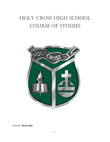# HOLY CROSS HIGH SCHOOL COURSE OF STUDIES



Revised: **March 2022**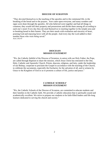#### **DIOCESE OF SCRANTON**

"They devoted themselves to the teaching of the apostles and to the communal life, to the breaking of the bread and to the prayers. Awe came upon everyone, and many wonders and signs were done through the apostles. All who believed were together and had all things in common; they would sell their property and possessions and divide them among all according to each one's need. Every day they devoted themselves to meeting together in the temple area and to breaking bread in their homes. They are their meals with exultation and sincerity of heart, praising God and enjoying favor with all the people. And every day the Lord added to their number those who were being saved." Acts 2:42-47

#### **DIOCESAN MISSION STATEMENT**

"We, the Catholic faithful of the Diocese of Scranton, in union with our Holy Father, the Pope, are called through Baptism to share the mission, which Jesus Christ has entrusted to the One, Holy, Catholic and Apostolic Church. Priests, deacons, religious, and laity, under the leadership of our Bishop, cooperate to proclaim the Gospel in accordance with the teaching of the Church, to celebrate the sacraments, especially the Eucharist, for the salvation of all, and to witness by Grace to the Kingdom of God so as to promote a culture of life, justice and peace."

#### **CATHOLIC SCHOOLS' MISSION STATEMENT**

"We, the Catholic Schools of the Diocese of Scranton, are committed to educate students and their families in the Catholic faith. We provide a Catholic education that is spiritually sound and academically excellent. We strive to prepare our students to be faith-filled leaders and life-long learners dedicated to serving the church and society."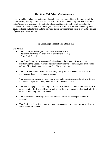#### **Holy Cross High School Mission Statement**

Holy Cross High School, an institution of excellence, is committed to the development of the whole person, offering comprehensive academic, social and athletic programs which are rooted in the Gospel and teaching of the Catholic Church. A Roman Catholic High School in the Diocese of Scranton, Holy Cross challenges its students to appreciate life-long learning and to develop character, leadership and integrity in a caring environment in order to promote a culture of peace, justice and service.

#### **Holy Cross High School Belief Statements**

We Believe:

- That the Gospel teachings of Jesus serve as the core of all Religious, academic and extracurricular activities at Holy Cross High School.
- That through our Baptism we are called to share in the mission of Jesus Christ, proclaiming the Gospel, fully and actively celebrating the sacraments, and promoting a culture of life, justice and peace rooted in Christian service.
- That our Catholic faith fosters a welcoming family, faith-based environment for all people, regardless of race, creed or culture.
- That a respect for the dignity and value of self and others is essential for all growth, and that the whole person – mind, body and spirit – must be nurtured.
- That a challenging curricular program in the arts, sciences and humanities seeks to instill an appreciation for life-long learning and fosters the development of Christian leadership, character and integrity in all students.
- That our students' diverse physical and athletic abilities be developed to their full potential.
- That family participation, along with quality education, is important for our students to achieve their full potential.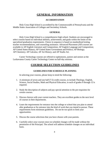### **GENERAL INFORMATION**

#### **ACCREDITATION**

Holy Cross High School is accredited by the Commonwealth of Pennsylvania and the Middle States Association of Colleges and Secondary Schools.

#### **GENERAL**

Holy Cross High School is a comprehensive high school. Students are encouraged to select courses based on individual abilities, achievement, and goals within the limits of the specialized graduation requirements. Choice in sequence is based on standardized testing, teacher recommendations, and counseling assistance. Advanced Placement (AP) courses are available in AP English Literature and Composition; AP English Language and Composition; AP United States History; AP United States Government and Politics; AP Biology; AP Chemistry; AP Calculus; AP Art History; and AP Studio Art.

Career Technology courses are offered to sophomores, juniors and seniors at the Lackawanna County Career Technology Center on half-day sessions.

### **COURSE SELECTION GUIDELINES**

#### **GUIDELINES FOR SCHEDULE PLANNING**

In selecting your courses, please keep in mind the following:

- 1. A minimum of seven and one half (7.5) credit courses, to include Theology, English, Science, Social Studies, Math and Physical Education, in each of grades 9 through 12 is required.
- 2. Study the description of subjects and pay special attention to the pre-requisites for certain courses.
- 3. Discuss choices with your current teachers. They are excellent guides to the next level of courses in their departments.
- 4. Learn the requirements for entrance into the college or school that you plan to attend after graduation or for entrance into the kind of work that you intend to pursue. These requirements form minimum guidelines. Do not be too quick to limit your opportunities.
- 5. Discuss the course selections that you have chosen with your parents.
- 6. Carefully select your courses since no schedule changes will be made without the permission of the Principal. The school will address schedule changes on an individual basis.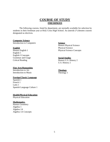### **COURSE OF STUDY FRESHMAN**

The following courses, listed by department, are normally available for selection by students in their freshman year at Holy Cross High School. An asterisk (\*) denotes courses designated as electives.

#### **Computer Science**

Introduction to Computers

#### **English**

Honors English 1 English 1 English I Concepts Grammar and Usage Critical Reading

#### **Fine Arts/Humanities**

Introduction to Art Introduction to Music

### **Foreign/Classic Language**

Spanish 1 French 1 Latin 1 Spanish Language Culture 1

#### **Health/Physical Education**

Physical Education

#### **Mathematics**

Honors Geometry Algebra 1 Algebra 1A Algebra 1A Concepts

#### **Science**

Honors Physical Science Physical Science Physical Science Concepts

#### **Social Studies**

Honors U.S. History 2 U.S. History 2

### **Theology**

Theology 1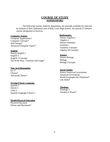### **COURSE OF STUDY SOPHOMORE**

The following courses, listed by department, are normally available for selection by students in their sophomore year at Holy Cross High School. An asterisk (\*) denotes courses designated as electives.

#### **Computer Science**

Computer Applications\* Computer Concepts\* Web Design\* Advanced Computer Topics\*

#### **English**

Honors English 2 English 2 English 2 Concepts The Write Way: Grammar and Usage\*

#### **Fine Arts/Humanities**

Art  $1*$ Chorus\* Advanced Chorus\*

#### **Foreign/Classic Language**

Spanish 2 French 2 Latin 2 Spanish Language Culture 2

#### **Health/Physical Education**

Physical Education Fitness and Movement\*

#### **Mathematics**

 Honors Algebra 2 Algebra 2 Honors Geometry **Geometry** Geometry Concepts Algebra 1B Concepts

#### **Science**

Honors Biology Biology Biology Concepts

#### **Social Studies**

Honors American Government American Government World Geography/Int'l Relations\* Life Skills\*

#### **Theology**

Theology 2 Awaken to Prayer\*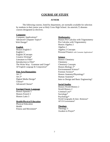### **COURSE OF STUDY**

#### **JUNIOR**

The following courses, listed by department, are normally available for selection by students in their junior year at Holy Cross High School. An asterisk (\*) denotes courses designated as electives.

#### **Computer**

Computer Applications\* Advanced Computer Topics\* Web Design\*

#### **English**

Honors English 3 English 3 English 3Concepts Creative Writing\* Literature to Film\* Introduction to Film\* The Write Way: Grammar and Usage\* AP English Language & Composition\*

#### **Fine Arts/Humanities**

Art 1\* Art 2\* Digital Media Design\* Chorus\* Advanced Chorus\*

#### **Foreign/Classic Language**

Honors Spanish 3 Honors French 3 Honors Latin 3

#### **Health/Physical Education**

Physical Education Health Fitness and Movement\*

#### **Mathematics**

Honors Pre-Calculus with Trigonometry Pre-Calculus with Trigonometry Honors Algebra 2 Algebra 2 Algebra 2 Concepts Personal Finance with Consumer Applications\*

#### **Science**

Honors Chemistry **Chemistry** Chemistry Concepts Honors Biology 2\* Environmental Science\* Forensic Science\* Honors Anatomy/Physiology\* Human Anatomy\* Intro to Design and Basic Engineering\*

#### **Social Studies**

Honors World History 2 World History 2 Criminal Law\* Sociology\* Psychology\* World Geography & Inter. Relations\* AP US Government\*

#### **Theology**

Theology 3 Awaken to Prayer\*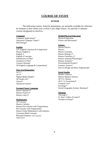### **COURSE OF STUDY**

#### **SENIOR**

The following courses, listed by department, are normally available for selection by students in their senior year at Holy Cross High School. An asterisk (\*) denotes courses designated as electives.

#### **Computer**

Computer Applications\* Advanced Computer Topics\* Web Design\*

#### **English**

A.P. English Literature & Composition Honors English 4 English 4 English 4 Concepts Introduction to Film\* Literature to Film\* Creative Writing\* AP English Language & Composition\*

#### **Fine Arts/Humanities**

Art 2\* Art  $3*$ Digital Media Design\* AP Studio Art\* Chorus\* Advanced Chorus\*

#### **Foreign/Classic Language**

Honors Spanish 4\* Honors French 4\* Honors Latin 4\*

#### **Mathematics**

AP Calculus Honors Calculus Honors Pre-Calculus with Trigonometry Pre-Calculus with Trigonometry Honors Finite Mathematics with Statistics Consumer Math Concepts Personal Finance with Consumer Applications\*

#### **Health/Physical Education**

Physical Education Fitness and Movement\*

#### **Science**

Honors Physics Physics Physics Concepts Honors Biology 2\* Honors Chemistry 2\* Honors Anatomy/Physiology\* Human Anatomy\* Environmental Science\* Forensic Science\* Intro to Design and Basic Engineering\*

#### **Social Studies**

Modern America Honors Modern America AP U.S. History AP U. S. Government\* Criminal Law\* Sociology\* World Geography & Inter. Relations\*

#### **Theology**

Theology 4 St. Paul: A Man of Letters\* Awaken to Prayer\*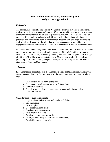### **Immaculate Heart of Mary Honors Program Holy Cross High School**

#### *Philosophy*

The Immaculate Heart of Mary Honors Program is a program that allows exceptional students to participate in a curriculum that offers courses which are broader in scope and are more demanding than the college preparatory curriculum. Students will be able to practice critical thinking and analytical skills that will aid them in developing their potential. The Immaculate Heart of Mary Honors Program will challenge outstanding students with a demanding education that stresses independent work and intense engagement with the faculty and other Honors students both in and out of the classroom.

Students completing the program will be awarded a diploma "with distinction." Students graduating with a cumulative grade point average of 3.30 to 3.59 will be awarded a distinction of "Cum Laude," students graduating with a cumulative grade point average of 3.60 to 3.79 will be awarded a distinction of Magna Cum Laude, while students graduating with a cumulative grade point average of 3:80 and higher will be awarded a distinction of "Summa Cum Laude."

#### *Admission*

Recommendation of students into the Immaculate Heart of Mary Honors Program will occur upon completion of the third quarter of the sophomore year. Criteria for selection include:

- a. Placement in the top **10%** of the class
- b. A cumulative grade point average of **3.50** or above
- c. Intellectual aptitude
- d. Overall school performance (past and current), including attendance and discipline records.

Characteristics of candidates include:

- a. High academic achievement and intellectual ability
- b. Self-motivation
- c. Self-discipline
- d. Good organizational skills
- e. Excellent written expression
- f. Avid interest in reading
- g. Good oral communication skills
- h. Ability to work independently and collaboratively
- i. Good citizenship and attendance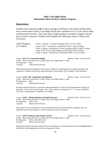#### **Holy Cross High School Immaculate Heart of Mary Scholars Program**

#### *Requirements*

Students must maintain an **85** or above average in all Honors and Advanced Placement level courses taken at Holy Cross High School and a minimum of a **C** in all courses taken at Marywood University. They must meet a high standard of academic integrity and not have excessive absences. Students will complete the following courses at Marywood University:

| I.H.M. Program: | Grade 11 Summer - General Psychology (PSY 211) (3 Credits)                |
|-----------------|---------------------------------------------------------------------------|
| $(15$ Credits)  | Grade 11 Fall – Composition and Rhetoric (ENGL 160) (3 Credits)           |
|                 | Grade 11 Spring - Introduction to World Literature (ENGL 180) (3 Credits) |
|                 | Grade 12 Fall - Roots of the Modern World (HIST 100) (3 Credits)          |
|                 | Grade 12 Spring - Introduction to Philosophy (PHIL 113) (3 Credits)       |

|                     | Course: PSY 211 General Psychology                                     |  | Relative Value: I.H.M. Level I |
|---------------------|------------------------------------------------------------------------|--|--------------------------------|
|                     | Credit: Marywood University 3 credits; Holy Cross High School 1 credit |  |                                |
| Pre-Requisite: None |                                                                        |  |                                |
| Location:           | Marywood University                                                    |  |                                |

Offers broad-based investigation of the nature of behavior, stressing general scientific principles, the complexity of human motivation, and the potential of psychology for the student's self-realization.

**Course: ENGL 160 Composition and Rhetoric** Relative Value: I.H.M. Level I Credit: Marywood University 3 credits; Holy Cross High School 1 credit Pre-Requisite: None Location: Marywood University

Provides intensive practice in exposition and argumentation as well as the demonstration of rhetorical principles. Also covers the term paper. This course requires a minimum of "C" in order to fulfill the University's requirement of competency in writing.

Course: **ENGL 180 Introduction to World Literature** Relative Value: I.H.M. Level I Credit: Marywood University 3 credits; Holy Cross High School 1 credit Pre-Requisite: ENGL 160 Location: Marywood University

This course surveys the literature of the world, both Western and Non-Western. Students will read landmark texts in several genres. Course content will vary by instructor.

Course: **HIST 100 Roots of the Modern World** Relative Value: I.H.M. Level II Credit: Marywood University 3 credits; Holy Cross High School 1 credit Pre-Requisite: ENGL 160, ENGL 180 Location: Marywood University

Studies the pivotal events and achievements of humankind, stressing the period from the Enlightenment to World War I and relating them to life in contemporary times.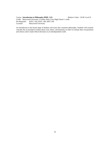Course: **Introduction to Philosophy (PHIL 113)** Relative Value: I.H.M. Level II Credit: Marywood University 3 credits; Holy Cross High School 1 credit Pre-Requisite: ENGL 160, ENGL 180, HIST 100 Location: Marywood University

An introduction to the broad range of thinkers and issues that constitute philosophy. Students will examine critically the accumulated wisdom about God, nature, and humanity in order to evaluate their own positions and choices and to make ethical decisions in an interdependent world.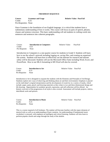#### **FRESHMAN SEQUENCE**

**Course: 6. Grammar and Usage 6. Grammar and Usage Relative Value: Pass/Fail** Credit: 0.25 Pre-Requisites: None

Since Grammar is the foundation of our English language, it is critical that students have a rudimentary understanding of how it works. This course will focus on parts of speech, phrases, clauses and sentence structure. This basic understanding will aid students in crafting words into sentences and sentences into coherent paragraphs.

| Course:        | <b>Introduction to Computers</b> | Relative Value: | Pass/Fail |
|----------------|----------------------------------|-----------------|-----------|
| Credit:        | 0.25                             |                 |           |
| Pre-Requisite: | <b>None</b>                      |                 |           |

Introduction to Computers is a one-quarter course for students in Grade 9. Students will learn how to use the school's network including logging on, saving files, and creating an organized file system. Students will learn how to effectively use the Internet for research and internet safety will be discussed. Students will use the Microsoft Office Suite including Word, Excel, and PowerPoint. How to use MLA formatting in MS Word will also be covered.

Course: **Introduction to Art** Relative Value: Pass/Fail Credit: 0.25 Pre-Requisite: None

Introduction to Art is designed to acquaint the students with the Elements and Principles of Art/Design. Students explore new ways of observing and thinking about art and their environment. Emphasis is placed on the individual's original interpretation and the development of creativity in a variety of media, which include: paper, paint, pencil, and drawing materials as they relate to two and three dimensional design and life drawing. Opportunities for aesthetic growth, expression, and self-reflection will be offered. An historic overview of the progression of art styles is also covered. Assessment will include projects, rubrics, sketchbook work and quizzes.

| Course:        | <b>Introduction to Music</b> |
|----------------|------------------------------|
| Credit:        | 0.25                         |
| Pre-Requisite: | None                         |

Relative Value: Pass/Fail

This is a course required of all freshmen. The student will become familiar with the major elements of musical style as well as an understanding of basic notation. An understanding of fundamental music vocabulary is stressed, with emphasis on intelligent and critical listening. Students will also learn to perform popular chords and songs through the study of the ukulele.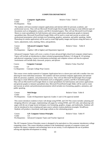#### **COMPUTER DEPARTMENT**

Relative Value: Table II

| Course:        | <b>Computer Applications</b> |
|----------------|------------------------------|
| Credit:        | 10                           |
| Pre-Requisite: | None                         |

The students will learn essential computer applications and internet skills for personal, academic, and professional success. They will use Microsoft Word/Google Docs/Google Drawings to create different types of documents such as infographics, posters, and MLA formatted papers. They will use Microsoft Excel/Google Sheets to create spreadsheets for both business and science applications and generate graphs to interpret spreadsheet data. Microsoft PowerPoint/Google Slides will be used to create and execute an artistic and professional presentation which includes text formatting, graphics, animation, and public speaking. Adobe Photoshop (or similar application) will be used to create high quality images and layouts using the basics of

layers, adjustments, tools, masking, filters, and gradients.

| Course: | <b>Advanced Computer Topics</b>                                  | Relative Value: Table II |  |
|---------|------------------------------------------------------------------|--------------------------|--|
| Credit: |                                                                  |                          |  |
|         | Pre-Requisites: Algebra 1 (80 or higher) and Department Approval |                          |  |

Advanced Computer Topics will cover a variety of more advanced high school level computer related topics. Topics will include an introduction to object oriented programming (Python), 3-D design & 3-D printing, and physical computing. Careers in information technology and computer science will also be explored. Assessments will include daily classwork, projects, and quizzes

**Course: Computer Concepts Course:** Relative Value: Pass/Fail Credit: 1.0 Co-Requisites: Concepts College Prep Courses

 This course covers similar material to Computer Applications but at a slower pace and with a smaller class size allowing for more individual assistance. The students will learn essential computer applications and internet skills for personal, academic, and professional success. They will use Microsoft Word/Google Docs/Google Drawings to create different types of documents such as infographics, posters, and MLA formatted papers. They will use Microsoft Excel/Google Sheets to create spreadsheets for both business and science applications and generate graphs to interpret spreadsheet data. Microsoft PowerPoint/Google Slides will be used to create and execute an artistic and professional presentation which includes text formatting, graphics, animation, and public speaking.

**Course: Web Design Course: Web Design Relative Value: Table II** Credit: 1.0 Pre-Requisites: Grade 10-Department Approval; Grades 11 and 12-No approval needed

This course introduces students to basic web design using HTML and CSS This course includes: planning and designing effective web pages, implementing web pages by writing HTML and CSS code, and enhancing web pages with the use of page layout techniques, text formatting, graphics, images, and multimedia. Students will also be introduced to Java scripting and open-source website creation platforms (example: WordPress). Students will produce a functional, multi-page website as the culminating project.

| Course: | A.P. Computer Science Principles                              | Relative Value: Table IV |  |
|---------|---------------------------------------------------------------|--------------------------|--|
| Credit: |                                                               |                          |  |
|         | Pre-Requisites: Advanced Computer Topics and Teacher Approval |                          |  |

The AP Computer Science Principles course is designed to be equivalent to a first-semester introductory college computing course. This course introduces students to the fundamental concepts of computer science and explores the impact computers and technology have on our society. It will emphasize the use of problem solving and algorithm development in coding.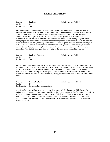#### **ENGLISH DEPARTMENT**

**Course: English 1 1 1 Relative Value: Table II Relative Value: Table II** Credit: 1.0 Pre-Requisite: None

English 1 consists of units of literature, vocabulary, grammar and composition. A genre approach is followed with respect to the literature, usually beginning with a short story unit. Novels, poetry, dramas and non-fiction essays are also studied. Each student will memorize and recite one Shakespearean soliloquy from The Tragedy of Romeo and Juliet. Vocabulary is gleaned from the literature and incorporated into the curriculum. Freshmen will be introduced to the Collins Writing Program. A very strong emphasis is placed on the study of grammar and composition. Each quarter has at least two weeks where grammar is presented, following composition. The parts of speech and their functions are taught as well as parts of a sentence, pronoun agreement and subject-verb agreement. Understanding grammatical constructions and usage within simple sentences and clauses is a strong part of the freshman writing curriculum. The students then apply their knowledge in the composition phase of the program.

| Course:             | <b>English 1 Concepts</b> | Relative Value: Table I |  |
|---------------------|---------------------------|-------------------------|--|
| Credit:             |                           |                         |  |
| Pre-Requisite: None |                           |                         |  |

In this course, a greater emphasis will be placed on basic reading and writing skills, accommodating the individual student. It is designed to review the basic concepts of grammar, namely, the parts of speech and the parts of the sentence. The students will improve their writing skills through the Collins Writing Program. A study of vocabulary will also be part of the curriculum, to be incorporated according to the teacher's discretion. Students will study short story, poetry, and nonfiction units. At least one novel will be studied.

| Course: | <b>Honors English 1</b>                      | Relative Value: Table III |  |
|---------|----------------------------------------------|---------------------------|--|
| Credit: |                                              |                           |  |
|         | Pre-Requisite: Placement Test Language Score |                           |  |

A review of grammar will occur at this time, and the students will develop writing skills through the Collins Writing Program. A genre approach will be used with respect to the study of literature. The students will study a minimum of three novels, two plays (one of which will be Shakespearean), one epic poem, as well as units of short stories, poetry, and nonfiction selections. A study of vocabulary is incorporated into the curriculum. Each student will memorize and recite one Shakespearean soliloquy from The Tragedy of Romeo and Juliet.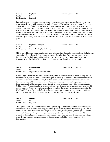**Course: English 2 2 2 Relative Value: Table II** Credit: 1.0 Pre-Requisite: English 1

English 2 consists of the study of the short story, the novel, drama, poetry, and non-fiction works. A genre approach is used with respect to the study of literature. The students read a minimum of three novels and two plays, one of which is a Shakespearean play. Students are required to recite a passage from William Shakespeare's play. Students continue to develop their writing skills through the Collins Writing Program. Grammar and usage are reviewed through this writing program. Sophomores study verbal usage as well as clauses to help them develop writing skills. Vocabulary is also incorporated into the curriculum as students prepare for the PSAT and SAT tests. By the end of their sophomore year, students complete a research paper utilizing MLA formatting and deliver a short formal speech corresponding to their research paper.

| Course:        | <b>English 2 Concepts</b>       | Relative Value: Table I |  |
|----------------|---------------------------------|-------------------------|--|
| Credit:        |                                 |                         |  |
| Pre-Requisite: | English 1 or English 1 Concepts |                         |  |

This course will place a greater emphasis on basic writing and reading skills, accommodating the individual student. Included in the curriculum are novels, plays and a collection of short stories, poems and nonfiction works. Vocabulary and writing skills are emphasized at this level. Grammar and usage are incorporated into the Collins Writing Program. At least two novels and one play are studied.

| Course: | <b>Honors English 2</b>                  | Relative Value: Table III |  |
|---------|------------------------------------------|---------------------------|--|
| Credit: |                                          |                           |  |
|         | Pre-Requisite: Department Recommendation |                           |  |

Honors English 2 consists of a more advanced study of the short story, the novel, drama, poetry and nonfiction works. A genre approach is used with respect to the study of literature. The honor students read a minimum of four novels and four plays, two of which are Greek dramas and one Shakespearean play. Students are expected to read independently. Students are also required to recite a passage from a Shakespearean play. The sophomore honor students continue to develop their writing skills through the Collins Writing Program introduced to them freshman year. Grammar and usage are incorporated into this writing program. A study of vocabulary continues throughout the school year as students prepare for the PSAT and SAT tests. By the end of their sophomore year, students complete a research paper utilizing MLA formatting and deliver a short formal speech corresponding to their research paper.

| Course:                  | English 3 | Relative Value: Table II |  |
|--------------------------|-----------|--------------------------|--|
| Credit:                  | 10        |                          |  |
| Pre-Requisite: English 2 |           |                          |  |

The English 3 course is a comprehensive chronological study of American literature, from the European settlement of America to the  $21<sup>st</sup>$  century, within the genres of poetry, drama, the short story, the novella, and the novel. Non-fiction works, including sermons, speeches, letters, journals, and essays, will also be introduced. Students will begin to engage in a greater questioning of literature and will study literary elements including figurative language, mood, imagery, symbolism, and tone. Composition, including a research paper, is also a major component of the course and the Collins Writing program will be implemented.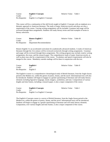**Course: English 3 Concepts** Relative Value: Table I Credit: 1.0 Pre-Requisite: English 2 or English 2 Concepts

This course will be a continuation of the skill levels taught in English 2 Concepts with an emphasis on a thematic approach to American literature. The study of major American novels and plays are also a requirement of the course. Varying writing assignments will be included. Grammar and usage will be reviewed through these assignments. Students will study literary terms and find examples of terms in literary selections.

**Course: Honors English 3** Relative Value: Table III Credit: 1.0 Pre-Requisite: Department Recommendation

Honors English 3 is an accelerated curriculum for academically advanced students. A study of American literature through the 21st century will be reviewed exclusively through writing assignments. Grammar and usage will be reviewed through these assignments. The writing program may include creative writing assignments, the essay, and the research paper. The comprehensive study of major American novels, as well as plays may also be a requirement of the course. Vocabulary and speech requirements will also be integral to the course. Mandatory outside readings will be done in conjunction with the text.

| Course:                  | English 4 | Relative Value: Table II |  |
|--------------------------|-----------|--------------------------|--|
| Credit:                  |           |                          |  |
| Pre-Requisite: English 3 |           |                          |  |

The English 4 course is a comprehensive chronological study of British literature, from the Anglo-Saxon period to the Modern era, within the genres of poetry, drama, and the novel. Informational texts will also be introduced. Students will begin to engage in a greater questioning of literature and will study literary elements including figurative language, mood, imagery, symbolism, and tone. Compositions of various lengths and time frames, including a research paper, is also a major component of the course.

| Course:        | <b>English 4 Concepts</b>       | Relative Value: | Table I |
|----------------|---------------------------------|-----------------|---------|
| Credit:        |                                 |                 |         |
| Pre-Requisite: | English 3 or English 3 Concepts |                 |         |

The English 4 Concepts course is a survey of British literature, from the Anglo-Saxon period to the Modern era, within the genres of poetry, drama, and the novel. Informational tests will be introduced. Students will begin to engage in a greater questioning of literature and will study literary elements. Composition, over various lengths and time frames, is also a major component of the course.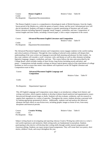| Course:        | <b>Honors English 4</b>   |
|----------------|---------------------------|
| Credit:        | 1.0                       |
| Pre-Requisite: | Department Recommendation |

Relative Value: Table III

The Honors English 4 course is a comprehensive chronological study of British literature, from the Anglo-Saxon period to the Modern era, within the genres of poetry, drama, and the novel. Informational texts will also be introduced. Students will begin to engage in a greater questioning of literature and will study literary elements including figurative language, mood, imagery, symbolism, and tone. Composition, of various lengths and time frames, including a research paper, is also a major component of the course.

| Course: | <b>Advanced Placement English Literature and Composition</b> |                          |  |
|---------|--------------------------------------------------------------|--------------------------|--|
|         |                                                              | Relative Value: Table IV |  |
| Credit: | 1()                                                          |                          |  |
|         | Pre-Requisite: Department Recommendation                     |                          |  |

The Advanced Placement English Literature and Composition course engages students in the careful reading and critical analysis of literature. Through the close reading of selected works students will deepen their understanding of the ways writers use language to provide both meaning and pleasure for their readers. As they read, students will consider a work's structure, style, and themes as well as other elements including figurative language, imagery, symbolism, and tone. This course follows the nine units prescribed by the College Board, which includes studies of short fiction, long fiction (including novels and play), and poetry. Compositions include monthly writings on literary topical genres typical of the expectations of college freshmen as well as essays that mimic what students will experience on the AP English Literature and Composition exam in May.

| Course:        | <b>Advanced Placement English Language and</b><br>Composition | Relative Value: Table IV |  |
|----------------|---------------------------------------------------------------|--------------------------|--|
| Credit:        | 1.0                                                           |                          |  |
| Pre-Requisite: | Departmental Approval                                         |                          |  |

This AP English Language and Composition course aligns to an introductory college-level rhetoric and writing curriculum, which requires students to develop evidence-based analytical and argumentative essays that proceed through several stages or drafts. Students will also evaluate, synthesize, and cite research to support their arguments in a variety of speeches. Throughout the course, students develop a personal style by making appropriate grammatical choices. Additionally, students read and analyze the rhetorical elements and their effects in non-fiction texts, including graphic images as forms of text, from many disciplines and historical periods.

| Course:             | <b>Creative Writing</b> | Relative Value: Table II |  |
|---------------------|-------------------------|--------------------------|--|
| Credit:             |                         |                          |  |
| Pre-Requisite: None |                         |                          |  |

Subject writing based on investigating and reporting whereas Creative Writing has solid roots in a writer's real-world experiences and memories. Both writing styles are fundamental in journalism. Students participating in this elective will develop their writing skills through weekly journal assignments and classroom editing. Students can expect project-based assignments. They will create their own poetry, short stories, children's book, and essays throughout the year.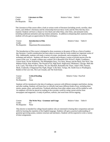**Course: Literature to Film Relative Value: Table II** Credit: 1.0 Pre-Requisite: None

The Literature to Film course offers a look at various works of literature (including novels, novellas, short stories, and children's literature) and the relationship between those works and the films that they have inspired. Students will have a chance to view black and white films, color films, and animated works including traditional animation and stop-motion animation. In addition to deepening their analytical skills, students will also gain an appreciation for film techniques.

**Course: Introduction to Film Relative Value:** Table II Credit: 1.0 Pre-Requisite: Department Recommendation

The Introduction to Film course is designed to draw awareness to the genre of film as a form of modern day literature. Careful consideration has been taken to ensure that the works studied are important works of film. Additionally, students will study a variety of scripts, storyboards, and screenplays for writing technique and analysis. Students will observe, analyze and evaluate a variety of pivotal movies over the course of the year. A sample syllabus may contain Life is Beautiful (Elie Weisel's *Night*), Casablanca, Citizen Kane, On the Waterfront, The Philadelphia Story, Toy Story, Beauty and the Beast, Star Wars, The Maltese Falcon, Rear Window, The Wizard of Oz, High Noon, Stagecoach, Oklahoma!, Chicago, Meet Me in St. Louis, The Pride of the Yankees, We Are Marshall, Remember the Titans, Adam's Rib, Fantasia, Shrek, Cinderella, It Happened One Night, Singin' in the Rain, Vertigo, Mr. Smith Goes to Washington, Raiders of the Lost Ark, The Last Crusade, and The Sixth Sense.

| Course:             | <b>Critical Reading</b> | Relative Value: Pass/Fail |
|---------------------|-------------------------|---------------------------|
| Credit:             |                         |                           |
| Pre-Requisite: None |                         |                           |

Students will be introduced to the idea of reading as a process with different strategies used before, during, and after reading. Students will learn how to critically read many different kinds of text, including short stories, poems, plays, and nonfiction. Textbook selections from other subject areas will be studied as well. An emphasis will also be placed on reading in the everyday world by using current articles from newspapers and magazines. A study of prefixes, suffixes, and word roots will be ongoing.

| Course:        | The Write Way: Grammar and Usage | Relative Value: Table II |  |
|----------------|----------------------------------|--------------------------|--|
| Credit:        |                                  |                          |  |
| Pre-Requisite: | None                             |                          |  |

This elective is intended for college-bound students who are interested in honing their composition and oral skills by learning the requisites of the English language. Students will gain a practical understanding of grammar governing syntax, sentence structure and mechanics. Students will be expected to write a variety of short assignments.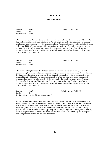#### **FINE ARTS**

#### **ART DEPARTMENT**

Credit: 1.0 Pre-Requisite: None

**Course: Art 1 Relative Value: Table II** 

This course explores characteristics of artists and creative people through the examination of themes that help students find their individual artistic voice. Art 1 is largely driven by student choice with a strong emphasis on experimentation of a wide range of mediums. This course is open to students of all skill levels and artistic abilities. Student success will be determined by consistent effort and openness to new ways of thinking. Creativity will be strongly encouraged throughout the coursework. Grading is based on rubric criteria, reflections in the form of writing samples and electronic message board as well as sketchbook activities and artistic journaling.

| Course:             | Art 2 | Relative Value: Table II |  |
|---------------------|-------|--------------------------|--|
| Credit:             |       |                          |  |
| Pre-Requisite: None |       |                          |  |

This course will emphasize greater skill development in a modified choice based setting. Art 2 will continue to explore themes that explore students' viewpoint, opinions and artistic voice. Art 2 is designed for the student who is interested in further developing their skills and viewpoint as a more serious art student. Students will continue to examine master artists, reflect and make connections through their artwork and the artwork of others. Art 2 will also begin to lay the foundation for Advanced Placement Studio Art for those interested in receiving college credit in the senior year. Grading is based on rubric criteria, reflections in the form of writing samples and electronic message board as well as sketchbook activities and artistic journaling.

Course: **Art 3 Article 2 Art Art 3 Relative Value: Table III** Credit: 1.0 Pre-Requisites: Art 2 and Department Approval

Art 3 is designed for advanced skill development with exploration of student driven concentration of a specific theme. The course is designed for creative students with a high level of independent motivation who would like to continue their art studies, but whose interests fall outside the scope of the Advanced Placement guidelines. Examples of concentration explorations may include fashion and textile design, jewelry, medical and scientific illustration, painting and drawing for enjoyment. Grading will be primarily based on projects and rubric criteria, however some research, reflection and journaling may be required depending on concentration and subject matter choice.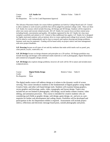Course: **A.P. Studio Art** Relative Value: Table IV Credit: 1.0 Pre-Requisites: Art 1 or Art 2 and Department Approval

The Advance Placement Studio Art course follows guidelines set forth by College Board and A.P. Central to allow students to work toward a portfolio that will be judged for potential college credit. There are three A.P. Studio Art courses which include Drawing, 2D Design and 3D Design. Students will be required to select one course and execute related artwork. All A.P. Studio Art courses focus on three central areas including breath, concentration and quality. All students registered for the A.P. Studio Art class must complete a portfolio and submit to A.P. Central in May (additional fees apply). A.P. Studio Art is designed for highly motivated students with an intrinsic drive to create sophisticated college level artwork. Students will be asked to work independently and in class to research and explore drawing and design problems. Summer work may be requested. Grading will be based solely on project rubrics and time management with strict project deadlines.

**A.P. Drawing** focuses on all types of wet and dry mediums that make artful marks such as pastel, pen, color pencils, acrylic, watercolor, etc.

**A.P. 2D Design** focuses on design elements and principles on a 2D surface. 2D Design portfolios may include drawings and designs with traditional studio materials as well as photography, digital illustrations and commercial art/graphic design artwork.

**A.P. 3D Design** also explores design problems, however all work will be 3D in nature and includesmore sculptural pieces.

Course: **Digital Media Design by Relative Value:** Table II Credit: 1.0 Pre-Requisite: None

The digital media course will address design as it relates to the dynamic world of screen viewing. This course introduces students to the fundamentals of digital graphics using Adobe Creative Suite, and other web based design tools. Students will examine bitmap graphics, vector graphics and drawings, audio, video, typography and layout design. Topics may include but are not limited to photography, web design, social media content creation, video editing, and animation processes. This course is intended for creative students who are considering such fields as graphic design, web design, game design, etc. and acts as a prerequisite for further web development and coding classes. Portfolios will be developed and participation in the Art Department exhibit is required. Assessments will include project rubrics, reflections and electronic message board posts, outside photography and prints.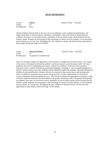#### **MUSIC DEPARTMENT**

Credit: 1.0 Pre-Requisite: None

**Course: Chorus Chorus Relative Value: Pass/Fail** 

Chorus develops musical skills in the areas of vocal techniques, music reading and performance. All singers participate in school concerts, assemblies, and liturgies. Due to the nature of being both and academic class and a co-curricular activity, attendance at out-of-school events will be factored into the student's grade. Students are encouraged to take advantage of cultural activities (theater, vocal ensembles, private lessons, etc.) in the area. Throughout the year, students in chorus will also have the opportunity to learn simple chords and songs on the ukulele.

| Course:        | <b>Advanced Chorus</b>      |
|----------------|-----------------------------|
| Credit:        | 10                          |
| Pre-Requisite: | Acceptance by audition only |

Relative Value: Pass/Fail

This class will give students the opportunity to be involved in a higher level of choral music. The content of the course is designed to develop the student's technical, musical, and performance skills. The music studied by this choir is challenging and requires a desire for excellence on the part of the members. Literature covers a variety of historical periods and languages, including 4 – part a cappella polyphony in French, German, Italian, and Latin. Students will be required to sight-sing melodies, and label and perform rhythms of varying difficulties. Students will also be required to learn music theory and develop aural skills. In addition to seasonal concert events, this group will, as course requirements, be involved in various community events throughout the year. This will give students the opportunity to perform in front of diverse audiences and showcase their talents to the greater community. Due to the nature of being both an academic class and a co-curricular activity, attendance at out-of-school events will be factored into the student's grade. Students are encouraged to take advantage of cultural activities (theater, vocal ensembles, private lessons, etc.) in the area. Throughout the year, students in advanced chorus will also have the opportunity to learn simple chords and songs on the ukulele.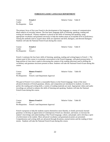#### **FOREIGN/CLASSIC LANGUAGE DEPARTMENT**

| Course:             | <b>French 1</b> |
|---------------------|-----------------|
| Credit:             | 10              |
| Pre-Requisite: None |                 |

The primary focus of first year French is the development of the language as a means of communication about subjects of everyday interest. The four basic language skills of listening, speaking, reading and writing are introduced. Primary emphasis is placed on the skills of listening and speaking, using appropriate vocabulary and grammar necessary to help the student attain an acceptable level of proficiency. Among the methods used to acquire these skills are repetition and drill, dialogues, and directed dialogues. Students will take the National French Exam during this course.

| Course:                 | <b>French 2</b> | Relative Value: Table II |  |
|-------------------------|-----------------|--------------------------|--|
| Credit:                 |                 |                          |  |
| Pre-Requisite: French 1 |                 |                          |  |

French 2 continues the four basic skills of listening, speaking, reading and writing begun in French 1. The primary goal of this course is to promote conversation in the French language, with good pronunciation. A large portion of class time is spent in discussing the content of the reading selections used in drilling the vocabulary and grammar structures present in them. Students will take the National French Exam during this course.

Course: **Honors French 3** Relative Value: Table III Credit: 1.0 Pre-Requisites: French 2 and Department Approval

Relative Value: Table II

The goal of French 3 is to achieve a reasonable fluency in the French language. Some of the more advanced elements of French grammar, idioms, and composition are introduced to students. In order to perfect the reading and writing skills, a variety of reading materials are used. Appropriate videos and audio recordings are utilized to enhance the skills of listening and speaking. Students will take the National French Exam during this course.

Course: **Honors French 4** Relative Value: Table III Credit: 1.0 Pre-Requisites: French 3 and Department Approval

.

French 4 proposes to help the students express themselves more fluently, to fortify previously learned grammar; to develop an appreciation of contemporary French art, literature, and music; to increase the student's knowledge and understanding of the French language, culture, and people; and to develop a spirit of achievement in the student. More advanced vocabulary and grammatical points are presented. Comprehension and writing skills are advanced through dictations, journal entries and the reading of short stories. Students will take the National French Exam during this course.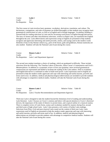**Course: Latin 1 1 1 1 Relative Value: Table II** Credit 1.0 Pre-Requisite: None

The first course in Latin involves basic grammar, vocabulary, derivatives, translation, and culture. The declensions, conjugations, and rules of grammar are drilled thoroughly so that students may recognize basic grammatical constructions in Latin, as well as in English and in foreign languages. Vocabulary building is stressed both for reading selections in Latin and for increasing word power in English through derivatives. The story of Aeneas and other miscellaneous selections, written in simple Latin, are translated into English throughout the year. Latin abbreviations and expressions using in English are presented to help students recognize and appreciate interesting and useful proverbs, mottos, and sayings used in the modern world. Elements of day-to-day Roman culture (e.g., parts of the house, gods and goddesses, Roman numerals) are also studied. Students will take the National Latin Exam during this course.

| Course: | <b>Honors Latin 2</b>                           |
|---------|-------------------------------------------------|
| Credit: | 10                                              |
|         | Pre-Requisites: Latin 1 and Department Approval |

**Relative Value: Table II** 

The second year student translates a choice of readings, which are graduated in difficulty. These include selections from the following: The Timeline Labors of Hercules, Julius Caesar's Commentaries and Ovid's *Metamorphoses*. In addition to a systematic review of first year grammar, more involved grammatical constructions are represented and drilled to facilitate the reading of the Latin authors. Drill in vocabulary and English derivatives is continued in order to build word power. Latin expressions used in English are presented to help the modern reader appreciate and cope with interesting and useful maxims, proverbs and terms used in law. In addition, medical and pharmacological abbreviations are included to provide students with advantage in competitive medical studies. Students will take the National Latin Exam during this course.

Course: **Honors Latin 3** Relative Value: Table III Credit: 1.0 Pre-Requisites: Latin 2 Teacher Recommendation and Department Approval.

Third year Latin is designed to take the student beyond the elementary level of reading and understanding Latin literature. Latin 3 focuses on Cicero's orations and letters with special attention to Cicero's rhetorical devices, the importance of the study of rhetoric in ancient times, and a typical outline of a classical oration. There is complete review of Latin forms, syntax and vocabulary needed for mastery during first, second and third years of high school Latin. Latin 3 also presents a rich variety of further Latin readings. Selections from Pliny, Ovid and post-classical Latin round out the content of third year Latin. Latin expressions used in English are presented to help the modern reader appreciate and cope with interesting and useful maxims, proverbs and terms used in law. In addition, medical and pharmacological abbreviations are included to provide students with advantage in competitive medical studies. Students will take the National Latin Exam during this course.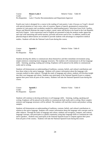| Course: | <b>Honors Latin 4</b>                                                   | Relative Value: Table III |  |
|---------|-------------------------------------------------------------------------|---------------------------|--|
| Credit: |                                                                         |                           |  |
|         | Pre-Requisites: Latin 3 Teacher Recommendation and Department Approval. |                           |  |

Fourth year Latin is designed for a course in the reading of Latin poetry. Latin 4 focuses on Vergil's *Aeneid*  with special attention to Latin verse, rules of scansion, figures of speech, grammatical constructions common in Latin poetry and vocabulary needed for understanding poetry. Selections from Ovid, Catullus, Horace and Martial illustrate the range in subject, mood, meter and diction to be found in the Late Republic and Early Empire. Latin expressions used in English are presented to help the modern reader appreciate and cope with interesting and useful maxims, proverbs and terms used in law. In addition, medical and pharmacological abbreviations are included to provide students with advantage in competitive medical

studies. Students will take the National Latin Exam during this course.

| Course:        | Spanish 1 | Relative Value: Table II |
|----------------|-----------|--------------------------|
| Credit:        |           |                          |
| Pre-Requisite: | None      |                          |

Students develop the ability to communicate about themselves and their immediate environment using simple sentences containing basic language structures. The students will communicate in all four language skills – listening, speaking, reading and writing. Emphasis will be placed on the ability to communicate orally and in writing.

Students will demonstrate an understanding of traditions, customs, beliefs, and cultural contributions and how these relate to the native language. Students will connect information about the language with concepts studied in other subjects. Through the study of language and culture, students will develop insight into their own language and culture. Students may participate in the National Spanish Exam to compete against their peers from all parts of the country. Students will take the National Spanish Exam during this course.

| Course:                 | Spanish 2 | Relative Value: Table II |  |
|-------------------------|-----------|--------------------------|--|
| Credit:                 |           |                          |  |
| Pre-Requisite: Spanish1 |           |                          |  |

Students will continue to develop proficiency in all language skills – listening, reading, speaking and writing. Emphasis will be placed on the ability to communicate both orally and in writing. More complex sentence and language structures will be utilized. The students will read short stories and produce writing samples.

Students will demonstrate an understanding of traditions, customs, beliefs, and cultural contributions in relation to the native language. Students will connect information about the language with concepts used in other subjects. Through the study of language and culture, students will recognize, compare, and contrast language concepts, and participate in a global community using their language skills to communicate with native speakers. Students may participate in the National Spanish Exam to compete against their peers from all parts of the country. Students will take the National Spanish Exam during this course.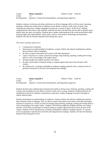| Course: | <b>Honors Spanish 3</b>                                                     | Relative Value: Table III |  |
|---------|-----------------------------------------------------------------------------|---------------------------|--|
| Credit: |                                                                             |                           |  |
|         | Pre-Requisites: Spanish 2, Teacher Recommendation, and Department Approval. |                           |  |

Students continue to develop and refine proficiency in all four language skills in all four areas: listening, speaking, reading and writing with an emphasis on the ability to interact orally and in writing. They communicate using more complex language structures on a variety of topics. At this level, students comprehend the main ideas of the authentic materials that they read and hear and are able to identify many details when the topics are familiar. Students gain a deeper understanding of the world around them while studying rights and responsibilities, future plans, choices, environment, technology and humanities. Students will take the National Spanish Exam during this course.

The course's primary goals are to:

- Communicate in Spanish;
- Demonstrate an understanding of traditions, customs, beliefs and cultural contributions and how these elements relate to language;
- Be able to acquire information and connect with other disciplines;
- Learn to function in a variety of practical settings using listening, speaking, reading and writing skills as well as knowledge of the target culture;
- Develop insight into English and their own culture;
- Be able to participate in national testing to compete against their peers from all parts of the country;
- Be introduced to vocabulary imbedded in authentic reading materials with a constant review of grammar introduced at all levels and integrated into readings.

| Course: | <b>Honors Spanish 4</b>                                                     | Relative Value: Table III |  |
|---------|-----------------------------------------------------------------------------|---------------------------|--|
| Credit: |                                                                             |                           |  |
|         | Pre-Requisites: Spanish 3, Teacher Recommendation, and Department Approval. |                           |  |

Students develop more sophisticated communication skills in all four areas: listening, speaking, reading and writing with an emphasis on the ability to interact orally and in writing. Authentic reading selections are emphasized at this level. Students communicate using more complex language structures and begin to express abstract ideas.

Students demonstrate an understanding of traditions, customs, beliefs and cultural contributions and how these elements relate to language. They are able to acquire information and connect with other disciplines and learn to function in a variety of practical settings using listening, speaking, reading and writing skills as well as knowledge of the target culture. Students will develop insight into English and their own culture and they will be able to participate in national testing to compete against their peers from all parts of the country. Students will be introduced to vocabulary imbedded in authentic reading materials. A constant review of grammar is introduced at all levels and integrated into readings. Students will take the National Spanish Exam during this course.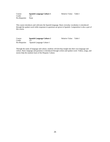Course: **Spanish Language Culture 1** Relative Value: Table I Credit: 1.0<br>Pre-Requisite: None Pre-Requisite:

This course introduces and cultivates the Spanish language. Basic everyday vocabulary is introduced through the spoken word while responses to questions are given in Spanish. Composition is also a part of this course.

Course: **Spanish Language Culture 2** Relative Value: Table I Credit: 1.0 Pre-Requisite: Spanish Language Culture 1

Through the study of language and culture, students will develop insight into their own language and culture. Basic language and grammar is introduced through written and spoken word. Videos, songs, and stories help the students learn of the Hispanic Culture.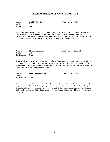#### **HEALTH AND PHYSICAL EDUCATION DEPARTMENT**

Course: **Health Education Relative Value: Table II** Credit: 0.5 Pre-Requisite: None

This course presents skills for wellness by providing accurate and thorough information that students need to make positive decisions about their health in the areas of physical health, mental health, social health, drugs, nutrition, violence prevention, and exercise. In this course, students are encouraged to realize the choices that they make in the present affect their health through life.

| Course:             | <b>Physical Education</b> | Relative Value: Pass/Fail |  |
|---------------------|---------------------------|---------------------------|--|
| Credit:             | 0.25                      |                           |  |
| Pre-Requisite: None |                           |                           |  |

Physical Education is an activity-based program offering both team activities and individual activities. An opportunity for every individual to develop and use physical skills at their ability level is offered. The emphasis in the physical education program is placed on movement, participation, good sportsmanship and developing a basis for lifetime physical fitness.

Course: **Fitness and Movement** Relative Value: Pass/Fail Credit: 0.5 Pre-Requisite: None

This course is a combination of strength and aerobic activities interspersed with team games. An emphasis is placed on students completing and qualifying for the Presidential Youth Fitness Program. Events included are a one mile run, push-up and curl-up tests, the sit and reach and a shuttle run. Students will practice setting individual fitness goals, while developing a basis for a lifetime of fitness and movement.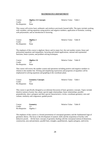#### **MATHEMATICS DEPARTMENT**

Course: **Algebra 1A Concepts** Relative Value: Table I Credit: 1.0 Pre-Requisite: None

This course will review basic arithmetic and reinforce previously learned skills. The topics include working with variables; solving equations using positive and negative numbers; application of formulas; working with polynomials; and an introduction to factoring.

| Course:             | Algebra 1 | Relative Value: Table II |  |
|---------------------|-----------|--------------------------|--|
| Credit:             |           |                          |  |
| Pre-Requisite: None |           |                          |  |

The emphasis of this course is algebraic theory and its major foci: the real number system, linear and polynomial equations and inequalities, factoring and related applications, rational and exponential functions, linear systems, and problem solving techniques.

| Course:        | Algebra 1A | Relative Value: Table II |  |
|----------------|------------|--------------------------|--|
| Credit:        |            |                          |  |
| Pre-Requisite: | None       |                          |  |

This course will review the number system and operations including positive and negative numbers in relation to the number line. Writing and simplifying expressions and properties of equalities will be emphasized in solving equations and graphing in the coordinate plane.

| Course:        | <b>Geometry Concepts</b> |
|----------------|--------------------------|
| Credit:        | 1.0                      |
| Pre-Requisite: | None                     |

Relative Value: Table I

This course is specifically designed as an informal discussion of basic geometry concepts. Topics include intuitive notions of point, line, plane; special angle relationships; linear relationships; parallel, perpendicular, skew; polygons and their special characteristics; circles; coordinate geometry; area and volume; similarity and congruence; guided proofs.

| Course:                  | Geometry | Relative Value: Table II |  |
|--------------------------|----------|--------------------------|--|
| Credit:                  |          |                          |  |
| Pre-Requisite: Algebra 1 |          |                          |  |

The emphasis of this course is a formal presentation of conceptual geometry and the fundamental logicof geometric theory. The focus is the development of analytic skills and the acquisition of facility with deductive proofs. All the basic concepts of geometry dealing with the conceptual notions of dimension, construction, area and perimeter, parallel lines, triangles, quadrilaterals, regular polygons, and circles.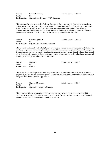| Course: | <b>Honors Geometry</b>                                  |
|---------|---------------------------------------------------------|
| Credit: | 1 <sub>0</sub>                                          |
|         | Pre-Requisites: Algebra 1 and Diocesan NWEA Assessment. |

This accelerated course is the study of advanced geometric theory and its logical extension to coordinate and transformational geometry. The focus of instruction is development of problem solving strategies and facility in creation of original proofs. All geometric concepts dealing with parallel lines, triangles, quadrilaterals, regular polygons, and circles are studied. Additionally, three-dimensional and coordinate geometry are integrated throughout. An introduction to trigonometry is also included.

**Course: Honors Algebra 2 2 Relative Value: Table III** Credit: 1.0 Pre-Requisites: Algebra 1 and Department Approval

Relative Value: Table III

This course is an in-depth study of algebraic theory. Topics include advanced techniques of factorization, quadratic, polynomial, exponential, logarithmic, rational functions and their graphs. Additionally, emphasis is placed upon inverse and composite functions; the complex number system; the rational root theorem and all applications of synthetic division; sequences, series, sigma notation and applications; fundamental counting principles; permutations and combinations.

| Course:                  | Algebra 2 | Relative Value: Table II |  |
|--------------------------|-----------|--------------------------|--|
| Credit:                  |           |                          |  |
| Pre-Requisite: Algebra 1 |           |                          |  |

This course is a study of algebraic theory. Topics include the complex number system, linear, quadratic, polynomial, radical, rational functions, systems of equations and inequalities, and continued development of analytical skills through practical applications.

Course: **Algebra 2 Concepts** Relative Value: Table I Credit: 1.0 Pre-Requisite: Algebra 1 or Algebra 1 Concepts

This course provides an opportunity for drill and practice at a pace commensurate with student ability. Skills practiced include solving linear equations, using basic factoring techniques, operating with rational expressions, and simplifying expressions/solving equations.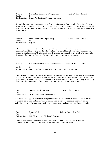Course: **Honors Pre-Calculus with Trigonometry** Relative Value: Table III Credit: 1.0 Pre-Requisites: Honors Algebra 2 and Department Approval

Pre-Calculus is an intense, demanding course focused on functions and their graphs. Topics include analytic geometry with emphasis on the theory of equations. Additionally, emphasis is placed upon systems of equations and inequalities, trigonometry and its extensions/applications, and the fundamental notion of a mathematical limit.

| Course:                  | <b>Pre-Calculus with Trigonometry</b> | Relative Value: Table II |  |
|--------------------------|---------------------------------------|--------------------------|--|
| Credit:                  |                                       |                          |  |
| Pre-Requisite: Algebra 2 |                                       |                          |  |

This course focuses on functions and their graphs. Topics include analytical geometry, systems of equations/inequalities, vectors, and the polar coordinate system. Additionally, this course introduces the student to the trigonometric/circular functions, their inverses, and graphs. Directed proofs of trigonometric identities and practical applications of trigonometric theory are integral to this course.

| Course: | <b>Honors Finite Mathematics with Statistics</b>                               | Relative Value: Table III |  |
|---------|--------------------------------------------------------------------------------|---------------------------|--|
| Credit: |                                                                                |                           |  |
|         | Pre-Requisites: Honors Pre-Calculus with Trigonometry and Department Approval. |                           |  |

This course is the traditional post-secondary math requirement for first year college students majoring in business or the social, behavioral, biological sciences. Fundamental themes include linear systems, linear programming, operations with/applications of matrices, mathematics of finance, number theory and counting techniques, probability and statistics, and logic. Practical applications are a primary focus.

| Course: | <b>Consumer Math Concepts</b>                     | Relative Value: Table I |  |
|---------|---------------------------------------------------|-------------------------|--|
| Credit: | 10                                                |                         |  |
|         | Pre-Requisites: Concept Level Mathematics Courses |                         |  |

This course is an applied math class designed for senior students to learn real-life math skills related to personal economics and money management. Topics include wages and income, personal budgeting, applying for loans and credit cards, paying taxes, and making good financial decisions.

| Course: | <b>Critical Math</b>                                    | Relative Value: Pass/Fail |  |
|---------|---------------------------------------------------------|---------------------------|--|
| Credit: | 05                                                      |                           |  |
|         | Co-Requisites: Critical Reading and Algebra 1A Concepts |                           |  |

This course reviews and reinforces the math skills needed for solving various types of problems. Opportunities are provided for regular drill in fundamental arithmetic operations.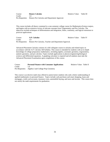| Course: | <b>Honors Calculus</b>                                       |
|---------|--------------------------------------------------------------|
| Credit: | 10                                                           |
|         | Pre-Requisites: Honors Pre-Calculus and Department Approval. |

This course includes all theory contained in a one-semester college course for Mathematics/Science majors, and begins with an extensive review of relevant concepts from Trigonometry and Pre-Calculus. The objectives include techniques of differentiation and integration, limits, continuity, and logical extensions to practical applications.

Relative Value: Table III

| Course: | <b>A.P. Calculus</b>                                                  | Relative Value: Table IV |  |
|---------|-----------------------------------------------------------------------|--------------------------|--|
| Credit: |                                                                       |                          |  |
|         | Pre-Requisites: Honors Pre-Calculus, Teacher and Department Approval. |                          |  |

Advanced Placement Calculus consists of a full collegiate course in calculus and related topics in accordance with the A.P. Calculus AB Syllabus. This course is intended for students with an in-depth knowledge of college preparatory mathematics, including algebra, axiomatic geometry, trigonometry, analytic geometry, and pre-calculus. Topics include applications to physics/engineering/biological sciences and differential equations. A graphing calculator is required and all students must take the Advanced Placement Examination upon completions of this course.

| Course: | <b>Personal Finance with Consumer Applications</b>  | Relative Value: Table II |
|---------|-----------------------------------------------------|--------------------------|
| Credit: |                                                     |                          |
|         | Pre-Requisites: Algebra I and College Prep Geometry |                          |

This course is an elective math class offered to junior/senior students who seek a better understanding of applied mathematics in personal finance. Topics include cash purchases and smart shopping, loans and mortgages, credit card accounts, insurance costs, automobile buying, and taxes and income. This course does not satisfy the math requirements for graduation.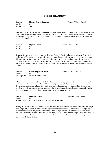#### **SCIENCE DEPARTMENT**

**Course: Physical Science Concepts Relative Value: Table I** Credit: 1.0 Pre-Requisite: None

Concentrating on the needs and abilities of the students, the purpose of Physical Science Concepts is to give a beginning knowledge of chemistry and physics and to offer an insight into the means by which scientific knowledge is acquired. A calculator is required for this course. Laboratory work is an essential component of the curriculum.

| Course:             | <b>Physical Science</b> | Relative Value: Table II |  |
|---------------------|-------------------------|--------------------------|--|
| Credit:             |                         |                          |  |
| Pre-Requisite: None |                         |                          |  |

Physical Science introduces the student to the scientific method as it applies to the sciences of chemistry and physics. The basics of these two sciences are examined as pure science and as they relate to everyday life and industry. Laboratory work is an essential component of the curriculum. An understanding of the S.I. system is developed through use and application. This course is designed to serve as a solid foundation for those students taking later courses in Biology, Chemistry and Physics. A calculator is required for this course.

| Course:       | <b>Honors Physical Science</b> | Relative Value: Table III |  |
|---------------|--------------------------------|---------------------------|--|
| Credit:       |                                |                           |  |
| Co-Requisite: | Freshman Honors Track          |                           |  |

The purpose of this course is to give students a beginning knowledge of chemistry and physics and to offer an insight into the means by which scientific knowledge is acquired. It should serve as a solid foundation for later courses in science. Laboratory work is an essential component of the curriculum. Students are required to work at an accelerated pace, utilize higher level thinking skills, and submit high quality work. A research project will be required. A calculator is required for this course.

| Course: | <b>Biology Concepts</b>                                      | Relative Value: Table I |  |
|---------|--------------------------------------------------------------|-------------------------|--|
| Credit: |                                                              |                         |  |
|         | Pre-Requisite: Physical Science or Physical Science Concepts |                         |  |

Biology Concepts involves the study of organisms. Students will be introduced to the fundamental concepts of biology with an emphasis on the way biology affects their daily lives. Characteristics of living things, classification of organisms, and structure and function of organisms are the major topics for this course. Students are introduced to the laboratory skills that are specific to the field of biology. Laboratory work is an essential component of the curriculum. Scientific articles from a variety of sources and special projects are used to enrich the curriculum.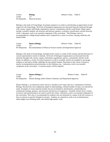Course: **Biology Biology** Relative Value: Table II Credit: 1.0 Pre-Requisite: Physical Science

Biology is the study of living things. Its primary purpose is to relate to and develop an appreciation of and respect for all living things. All levels of biological organization are discussed from the molecule through cells, tissues, organs, individuals, populations, species, communities and the world biome. Major topics include: scientific method, cell structure and function, genetics, evolution, classification, and the diversity of life. Laboratory work is an essential component of the curriculum. This Biology course is recommended for college-bound students and is required for a career in science, nursing, medicine and related fields.

**Course: Honors Biology Relative Value: Table III** Credit: 1.0 Pre-Requisites: Recommendation of Physical Science teacher and Department Approval.

Biology is the study of living things. Included in this course is a study of life systems and the dissection of various representative classes of animals. All levels of biological organization are discussed from the molecule through cells, tissues, organs, individuals, populations, species, communities and the world biome. In addition, a variety of research projects as well as scientific articles are assigned to encourage students to read and to further challenge the more gifted student. Placement in this course is based on teacher recommendation and performance in the freshman year. Laboratory work is an essential component of the curriculum. A research project will be required.

| Course: | <b>Honors Biology 2</b>                                                        | Relative Value: Table III |  |
|---------|--------------------------------------------------------------------------------|---------------------------|--|
| Credit: |                                                                                |                           |  |
|         | Pre-Requisites: Honors Biology and/or Honors Chemistry and Department Approval |                           |  |

Honors Biology 2, an advanced science elective, introduces new topics that are a continuation of Honors Biology. Because this class emphasizes depth of understanding, a limited number of topics are selected for study. Examples of course material include, but are not limited to, biochemistry, animal behavior, evolutionary biology, genetics, and structure and function of organisms. Scientific articles from a variety of sources and special projects are used to enrich the course. Laboratory work is an essential component of the curriculum. This class is recommended for students who are interested in a major in the life sciences or have an interest in specific biological concepts. Students are required to work at an accelerated pace, utilize higher level thinking skills, and submit high quality work.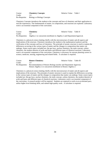| Course:        | <b>Chemistry Concepts</b>          |
|----------------|------------------------------------|
| Credit:        | 1.0                                |
| Pre-Requisite: | <b>Biology or Biology Concepts</b> |

Relative Value: Table I

Chemistry Concepts introduces the student to the concepts and laws of chemistry and their application to real life experiences. The fundamentals of matter, its composition, and reactions are explored. Laboratory work is an essential component of the curriculum.

| Course: | <b>Chemistry</b>                                                                         | Relative Value: Table II |  |
|---------|------------------------------------------------------------------------------------------|--------------------------|--|
| Credit: |                                                                                          |                          |  |
|         | Pre-Requisites: Algebra 2 or concurrent enrollment in Algebra 2 and Department Approval. |                          |  |

Chemistry is a physical science dealing chiefly with the microstructure of matter and all aspects and implications of the structure. Chemistry introduces the student to the mathematical analysis and the verification of the concepts and laws of chemistry. The principle of atomic structure is used to explain the differences occurring in the various types of matter and the changes in composition that matter can undergo. Some course topics included are: the gas laws, nuclear chemistry, the mole concept, carbon chemistry, the modern theories of acids and bases and different types of chemical reactions. Laboratory work is an essential component of the curriculum. Chemistry is necessary for anyone planning careers in science, medicine, nursing, engineering and related fields. A calculator is required.

| Course: | <b>Honors Chemistry</b>                                                           | Relative Value: Table III |  |
|---------|-----------------------------------------------------------------------------------|---------------------------|--|
| Credit: | 1 O                                                                               |                           |  |
|         | Pre-Requisites: Recommendation of Honors Biology teacher and Department Approval, |                           |  |
|         | Honors Algebra 2 or concurrent enrollment in Honors Algebra 2                     |                           |  |

Chemistry is a physical science dealing chiefly with the microstructure of matter and all aspects and implications of the structure. The principle of atomic structure is used to explain the differences occurring in the various types of matter and the changes in composition that matter can undergo. Some course topics included are: the gas laws, nuclear chemistry, the mole concept, carbon chemistry, the modern theories of acids and bases and different types of chemical reactions. Laboratory work is an essential component of the curriculum. A research project will be required. Students are required to work at an accelerated pace, utilize higher level thinking skills, and submit high quality work. A calculator is required.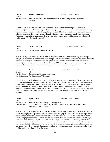| Course: | <b>Honors Chemistry 2</b>                                                                             | Relative Value: Table III |  |
|---------|-------------------------------------------------------------------------------------------------------|---------------------------|--|
| Credit: |                                                                                                       |                           |  |
|         | Pre-Requisites: Honors Chemistry, Concurrent Enrollment in Honors Physics and Department<br>Approval. |                           |  |

This advanced course is a comprehensive study of the laws, theories and principles of chemistry, emphasizing problem-solving techniques. The major topics covered in this course are molecular structure, thermochemistry, reaction spontaneity, equilibrium, chemical kinetics, oxidation-reduction reactions and solubility prediction. This course uses a college level textbook and requires independent student work. Students are required to work at an accelerated pace, utilize higher level thinking skills, and submit high quality work. A calculator is required.

| Course: | <b>Physics Concepts</b>                         | Relative Value: Table I |  |
|---------|-------------------------------------------------|-------------------------|--|
| Credit: |                                                 |                         |  |
|         | Pre-Requisites: Chemistry or Chemistry Concepts |                         |  |

Physics Concepts is a course that places primary emphasis on the study of matter-energy relationships through words rather than mathematical relationships. This course will help students to appreciate the world around them through the study of fundamental physical laws. The topics covered include linear motion, sound, light, two-dimensional motion, Newton's Laws of Motion, impulse and momentum, energy, wave motion and electricity. Laboratory work is an essential component of the curriculum.

| Course: | <b>Physics</b>                                    | Relative Value: Table II |  |
|---------|---------------------------------------------------|--------------------------|--|
| Credit: | 10                                                |                          |  |
|         | Pre-Requisites: Chemistry and Department Approval |                          |  |
|         | Pre-/Co-Requisite: Pre-Calculus and Trigonometry  |                          |  |

Physics is a study of the physical world as seen through matter-energy relationships. This classical approach to the study of physics acquaints students with the fundamental physical laws and enables development of logical thought processes. This course is designed to help students think and analyze problems in the real world. This physics course will cover measurement, linear motion, two-dimensional motion, sound, light, Newton's Laws of Motion, impulse and momentum, energy, wave motion, and electricity. Vectors are used in certain subject areas. Laboratory work is an essential component of the curriculum. A calculator is required.

| Course: | <b>Honors Physics</b>                                                                         | Relative Value: Table III |  |
|---------|-----------------------------------------------------------------------------------------------|---------------------------|--|
| Credit: | 10                                                                                            |                           |  |
|         | Pre-Requisites: Honors Chemistry and Department Approval.                                     |                           |  |
|         | Co-Requisites: Pre-Calculus and Trigonometry, Honors Calculus, A.P. Calculus or Honors Finite |                           |  |
|         | Mathematics with Statistics                                                                   |                           |  |

Physics is a study of the physical world as seen through matter-energy relationships. This classical approach to the study of physics acquaints students with the fundamental physical laws and enables development of logical thought processes. This course is designed to help students think and analyze problems in the real world. This physics course will cover measurement, linear motion, two-dimensional motion, sound, light, Newton's Laws of Motion, impulse and momentum, energy, wave motion, and electricity. The use of vectors is extensive. Laboratory work is an essential component of the curriculum. A calculator is required. The Honors students will be required to design projects pertinent to the concepts presented in this class. A research project will be required. Students are required to work at an accelerated pace, utilize higher level thinking skills, and submit high quality work.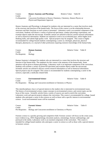| Course:        | <b>Honors Anatomy and Physiology</b>                                    | Relative Value: Table III |  |
|----------------|-------------------------------------------------------------------------|---------------------------|--|
| Credit:        |                                                                         |                           |  |
| Co-Requisites: | Concurrent Enrollment in Honors Chemistry, Chemistry, Honors Physics or |                           |  |
|                | Physics and Department Approval.                                        |                           |  |

Honors Anatomy and Physiology is designed for students who are interested in a career that involves study of the structure and function of the human body. The focus of this course is on the relationship between structures and their functions as each system is presented. Laboratory work is an essential component of the curriculum. Students will dissect a variety of preserved specimens, conduct physiology experiments, and examine objects under the microscope. Scientific articles are utilized to discuss current research information as well as historical information. Students are required to work at an accelerated pace, utilize higher level thinking skills, and submit high quality work. Special projects may be assigned. This course is highly recommended for college-bound students contemplating a career as a biologist, physician, physical therapist, pharmacist, or a myriad of other professions requiring extensive knowledge of the human body.

| Course:                | <b>Human Anatomy</b> | Relative Value: Table II |  |
|------------------------|----------------------|--------------------------|--|
| Credit:                |                      |                          |  |
| Pre-Requisite: Biology |                      |                          |  |

Human Anatomy is designed for students who are interested in a career that involves the structure and function of the human body. The emphasis for this course is the anatomy of the human body. Some attention will be given to human physiology. Laboratory work is an important component of the curriculum. Students will examine a variety of preserved specimens and examine objects under the microscope. Scientific articles are utilized to discuss current research information as well as historical information. Special projects may be assigned. This course is recommended for students contemplating a career in the sciences, especially a medically-related field.

| Course: | <b>Environmental Science</b>                                              | Relative Value: Table II |  |
|---------|---------------------------------------------------------------------------|--------------------------|--|
| Credit: |                                                                           |                          |  |
|         | Pre-Requisites: Biology and Concurrent enrollment in Chemistry or Physics |                          |  |

This interdisciplinary class is of special interest to the student who is interested in environmental issues. The history of environmental science, major concepts in environmental science, and current topics are the focus of the course. Scientific articles from a variety of sources are used to enrich the curriculum. Laboratory work and special projects enhance the curriculum. This course is recommended for college- bound students who anticipate a career in the sciences as well as those with a specific interest in environmental science. Local environmental issues will be examined.

| Course: | <b>Forensic Science</b>                                                   | Relative Value: | Table II |
|---------|---------------------------------------------------------------------------|-----------------|----------|
| Credit: |                                                                           |                 |          |
|         | Pre-Requisites: Biology and Concurrent enrollment in Chemistry or Physics |                 |          |

Forensic science is a quickly growing and competitive field. Forensic science will focus on the crime scene, trace evidence (e.g., DNA fingerprinting), document analysis, entomology, forensic anthropology, and portrayal in the media. Laboratory work is an essential component of the curriculum. This course is intended for college bound students who anticipate a career in science as well as those with a special interest in forensic science.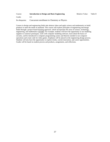| Course:        | Introduction to Design and Basic Engineering  | <b>Relative Value:</b> | Table II |
|----------------|-----------------------------------------------|------------------------|----------|
| Credit:        | 05                                            |                        |          |
| Pre-Requisite: | Concurrent enrollment in Chemistry or Physics |                        |          |

Careers in design and engineering fields take abstract ideas and apply science and mathematics to build products to meet the needs of mankind. This course will explore principles of engineering and design fields through a project-based learning approach, which incorporates the areas of science, technology, engineering, and mathematics (STEM). For example, students will have the opportunity to use modeling supplies to construct prototypes, work with computer modeling software, learn about the basics of circuitry, and be introduced to computer programming syntax and theories needed to run computer operations and create code for video games. Emphasis will be placed on the engineering design process. Students will also have the opportunity to explore trends, current innovation, and career opportunities. Grades will be based on student process and products, assignments, and reflections.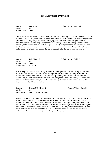#### **SOCIAL STUDIES DEPARTMENT**

Course: **Life Skills Course: Life Skills Relative Value: Pass/Fail** Credit: 1.0 Pre-Requisite: None

This course is designed to reinforce basic life skills, relevant to a variety of life areas. Included are: student input on life skills ideas, character development, reviewing the driver's manual, focus on finding a career (including filling out job applications and looking up jobs in the classifieds), managing finances, checkbook application (including writing deposit slips, writing checks, and keeping a running ledger balance), and discussion of credit card usage (pros and cons). Also provided are opportunities to cover timely topics, such as, peer pressure, self-esteem, assertiveness training and other confidence building skills. A written reflection paper about the course is completed at the end of the fourth quarter.

Course: **U.S. History 2** Relative Value: Table II Credit: 1.0 Pre-Requisite: None Grade Level Freshman

U.S. History 2 is a course that will study the rapid economic, political, and social changes in the United States and focus on U.S. developments and accomplishments. This course will emphasize America's involvement in both world wars as well as their participation in global conflicts and limited wars. Additionally, the students will be responsible for analyzing current events, evaluating the changes that occurred in the recent centuries  $(20<sup>th</sup>$  and  $21<sup>st</sup>$ ) and how they affect our country today, assessing their impact on current and future societies.

**Course: Honors U.S. History 2 2 2 Relative Value: Table III** Credit: 1.0 Co-Requisites: Honors Freshman Courses

Honors U.S. History 2 is a course that will study the rapid economic, political, and social changes in the United States and focus on U.S. developments and accomplishments. This course will emphasize America's involvement in both world wars as well as the nation's participation in global conflicts and limited wars. Additionally, the students will be responsible for analyzing current events, evaluating the changes that occurred in the recent centuries  $(20<sup>th</sup>$  and  $21<sup>st</sup>$ ) and how they affect our country today, and assessing their impact on current and future societies. The course will also explore various research methods with the goal of completing a research paper and/or project.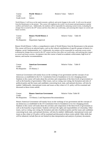| Course:      | <b>World History 2</b> |
|--------------|------------------------|
| Credit:      | 1.0                    |
| Grade Level: | Juniors                |

2 Relative Value: Table II

 World History 2 will focus on the rapid economic, political, and social changes in the world. It will cover the period from the Renaissance to the present. This course will emphasize the world's involvement and participation in global conflicts and limited wars. Additionally, the students will be responsible for analyzing current events, evaluating the changes that occurred in the 20<sup>th</sup> century and how they affect our world today, and assessing their impact on current and future societies.

| Course: | <b>Honors World History 2</b>       | Relative Value: Table III |  |
|---------|-------------------------------------|---------------------------|--|
| Credit: |                                     |                           |  |
|         | Pre-Requisite: Department Approval. |                           |  |

Honors World History 2 offers a comprehensive study of World History from the Renaissance to the present. This course will focus on selected topics, such as the cultural contributions of specific groups in history (i.e. religious, social, fundamentalist, etc.). Additionally, the students will be responsible for analyzing current events, evaluating the changes that occurred in the 20<sup>th</sup> century and how they affect our world today, and assessing their impact on current and future societies. Acceptance into this course is based on academic achievement, high level of interest, and teacher recommendation.

| Course:                     | <b>American Government</b> | Relative Value: Table II |  |
|-----------------------------|----------------------------|--------------------------|--|
| Credit:                     |                            |                          |  |
| Pre-Requisite: US History 2 |                            |                          |  |

American Government will mainly focus on the workings of our government and the concepts of our democracy as established in the U.S. Constitution from its foundation to its ever-changing present. Students in this course will study about the activities and composition of the three levels of government as well as the branches of government. Other issues, such as voting, non-voting, the formation and roles of political parties and the issues and candidates concerning local, state, and national elections, will also be studied. Additionally, international events and issues as they relate to U.S. policy will be examined and discussed as these events unfold.

| Course: | <b>Honors American Government</b>                          | Relative Value: Table III |
|---------|------------------------------------------------------------|---------------------------|
| Credit: | $\Box$                                                     |                           |
|         | Pre-Requisites: US History 2 and Department Recommendation |                           |

Honors American Government will mainly focus on the workings of our government and the concepts of our democracy as established in the US Constitution from its foundation to its ever-changing present. Students in this course will study about the activities and composition of the three levels of government as well as the branches of government. Students will learn the rights and responsibilities of citizenship. Other issues, such as voting, non-voting, the formation and roles of political parties and the issues and candidates concerning local, state, and national elections, will also be studied. Additionally, international events and issues as they relate to US policy will be examined and discussed as these events unfold. Other skills that will be enhanced, include (but are not limited to) data interpretation and analysis of primary documents.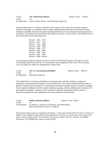| Course: | A.P. United States History                                       | Relative Value: Table IV |  |
|---------|------------------------------------------------------------------|--------------------------|--|
| Credit: |                                                                  |                          |  |
|         | Pre-Requisites: Honors World. History 2 and Department Approval. |                          |  |

Advanced Placement U.S. History is offered to select students in the senior Social Studies program. Students will engage in an outlined course of study emphasizing the nineteenth and twentieth centuries through considerable classroom time spent mastering techniques of essay writing and analyzing historical documents. The students will describe the major political, economic, social, literary, and cultural history of the United States by the following frames:

| Period 1: 1491 – 1607    |
|--------------------------|
| Period 2: 1607 - 1754    |
| Period 3: 1754 - 1800    |
| Period 4: 1800 - 1848    |
| Period 5: 1844 - 1877    |
| Period 6: 1865 - 1898    |
| Period 7: 1890 - 1945    |
| Period 8: 1945 - 1980    |
| Period 9: 1980 - Present |

An examination using the standard test from the Advanced Placement Program will be given in May. Participating students must take the A.P. Examination upon completion of the course. This evaluation score can qualify the student for undergraduate college credit.

| Course: | A.P. U.S. Government and Politics   | Relative Value: Table IV |  |
|---------|-------------------------------------|--------------------------|--|
| Credit: |                                     |                          |  |
|         | Pre-Requisites: Department Approval |                          |  |

AP United States Government and Politics is an elective that will give students an analytical perspective on government and politics in the United States. This course includes both the study of general concepts used to interpret U.S. government and politics and the analysis of specific examples. It also requires familiarity with the various institutions, groups, beliefs, and ideas that constitute U.S. government and politics. Students will be expected to become acquainted with the variety of theoretical perspectives and explanations for various behaviors and outcomes.

| Course: | <b>Modern American History</b>                                       | Relative Value: Table II |
|---------|----------------------------------------------------------------------|--------------------------|
| Credit" | 10                                                                   |                          |
|         | Pre-Requisites: US History 2, American Government, and World History |                          |
|         | Senior requirement for non A.P. students.                            |                          |

The purpose of this course is to expand on US History 2. The course will examine  $20<sup>th</sup>$  and  $21<sup>st</sup>$  century US History. Great emphasis will be placed on the presidencies of the era, as well as major events and current affairs. Areas of study include: The Cold War; The Korean Conflict; The UN; Vietnam; Civil Rights Movements; The Middle East; America and the World.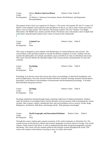| Course: | <b>Honors Modern American History</b>                                                   | Relative Value: Table III |
|---------|-----------------------------------------------------------------------------------------|---------------------------|
| Credit" | $\Box$                                                                                  |                           |
|         | Pre-Requisites: US History 2, American Government, Honors World History, and Department |                           |
|         | Recommendation                                                                          |                           |

The purpose of this course is to expand on US History 2. The course will examine  $20<sup>th</sup>$  and  $21<sup>st</sup>$  century US History. Great emphasis will be placed on the presidencies of the era, as well as major events and current affairs. Areas of study include: The Cold War; The Korean Conflict; The UN; Vietnam; Civil Rights Movements; The Middle East; America and the World. The Honors class will include a more in-depth look at the topics using document analysis and a variety of research and writing skills. .

| Course:             | <b>Criminal Law</b> | Relative Value: Table II |  |
|---------------------|---------------------|--------------------------|--|
| Credit:             | 0.5                 |                          |  |
| Pre-Requisite: None |                     |                          |  |

This course is designed to assist students with identification of criminal behaviors and activities. The course defines crime and helps students to classify the different categories of crimes. Students will also examine the philosophies of criminals and identify causes and effects of crime on individuals and society. This course will also identify the individual rights of the accused and the constitutionality of crime and criminals.

| Course:             | <b>Psychology</b> | Relative Value: Table II |  |
|---------------------|-------------------|--------------------------|--|
| Credit:             |                   |                          |  |
| Pre-Requisite: None |                   |                          |  |

Psychology is an elective course that surveys the science of psychology, its theoretical foundations, and practical applications. The areas surveyed include motivation, emotion, learning, sensation and perception, personality, social behavior and techniques of measurement and developmental psychology. It includes both individual and group activities.

| Course:             | <b>Sociology</b> | Relative Value: Table II |  |
|---------------------|------------------|--------------------------|--|
| Credit:             | 0.5              |                          |  |
| Pre-Requisite: None |                  |                          |  |

Sociology emphasizes learning through inquiry requiring a high level of student participation. Students study the elements of sociological theory and the elements of social research while investigating the various societies, their customs, cultures, institutional roles, and social problems such as: poverty, racism, drugs, delinquency, alcoholism, child abuse, and teenage suicide. Role-playing is encouraged.

Course: **World Geography and International Relations** Relative Value: Table II Credit: 1.0 Pre-Requisite: None

Through this course, students gain a greater awareness of the world community in which they live. The content focuses on the physical, cultural and economic geography of various nations in Europe, Asia, South America, North America and Africa, as well as emphasizing map skills and general geographic concepts and themes. This course will also examine political and economic systems throughout the world. This course will examine world relations, focusing on areas of conflict and turmoil.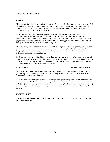#### **THEOLOGY DEPARTMENT**

#### **Overview**

The secondary Religious Education Program seeks to formthe whole Christian person in an integrated faith life within the Church community by interweaving the four components of catechesis: word, worship, community, and service. First, young people develop their understanding of the **Catholic tradition**  through the study of content of the Church'sfaith.

Second, the Secondary Religious Education Program acknowledges the tremendous need for the accompanying spiritual development of the teen. Students integrate the knowledge gained about the Church's faith with their own lived religious experience. They are invited to participate in various forms of prayer and worship that are essential to the life of a believer. Young people encounter the Scriptures not simply as a textual object for study but as the living word.

Third, the young person's commitment to God in faith finds expression in a corresponding commitment to the **community of the church**. In the Church's ministry to young people in the Religious Education Program, the students may recognize their own vital place within the community of disciples. They are welcomed, valued, supported, and guided.

Finally, young people are initiated into the gospel mandate of **service to others**. Teachers present love of neighbor not so much as a command, but as a way of life. The communion with God overflows into action in the service of others, particularly those most in need. Secondary students engage in service hours as a necessary component of their progress in the program.

#### **Christian Service Relative Value: Pass/Fail**

To be a student at Holy Cross High School is to make a positive commitment to serve others. This is the gift and responsibility of every Christian. Holy Cross High School recognizes this call to serve as a vital element in the student's growth in faith.

All students are required to participate in the service program sponsored by Holy Cross High School. This program reaches out to 1) the school community; 2) the parish community; 3) the local civic community; and 4) the global community. Underclassmen are required to complete twenty (20) hours of service during each year as part this structured service program. Seniors are required to complete forty (40) hours of service.

#### **REQUIREMENTS**:

A designated Bible must be purchased through the  $9<sup>th</sup>$  Grade Theology class. The Bible will be used for four (4) years of study.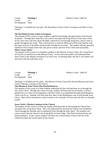**Course: Theology 1 Relative Value: Table III** Credit: 1.0 Pre-Requisite: None

Theology 1 is divided into two parts: The Revelation of Jesus Christ in Scripture and Who is Jesus Christ?

#### **The Revelation of Jesus Christ in Scripture**

The purpose of this course is to give students a general knowledge and appreciation of the Sacred Scriptures. Through their study they will come to encounter the living Word of God, Jesus Christ. In the course they will learn about the Bible, authored by God through Inspiration, and its value to people throughout the world. They will learn how to read the Bible and will become familiar with the major sections of the Bible and the books included in its section. The student will pay particular attention to the Gospels where they may grow to know and love Jesus Christ more personally. **Who is Jesus Christ?**

The purpose of this course is to introduce students to the Mystery of Jesus Christ, the Living Word of God, the second Person of the Blessed Trinity. In the course the student will understand that Jesus Christ is the ultimate revelation to us from God. In learning about who He is, the student will also learn what He calls them to be.

**Course:** Theology 2 **Relative Value: Table III** Credit: 1.0 Pre-Requisite: None

Theology 2 is divided into two parts: The Mission of Jesus Christ (The Paschal Mystery) and Jesus Christ's Mission Continues in the Church.

#### **The Mission of Jesus Christ (The Paschal Mystery)**

The purpose of this course is to help students understand all that God had done for us through His Son, Jesus Christ. Through this course of study, students will learn that for all eternity, God has planned for us to share eternal happiness with Him which is accomplished through the Redemption Christ won for us. Students will learn that they share in this Redemption only in and through Jesus Christ. They will be introduced to what it means to be a disciple of Christ and what life as a disciple entails.

#### **Jesus Christ's Mission Continues in the Church**

The purpose of this course is to help the student understand that in and through the Church they encounter the Living Jesus Christ. They will understand the fact that the Church was founded by Christ through the Apostles and is sustained by Him through the Holy Spirit. The students will come to know that the Church is the living Body of Christ today. This Body had both divine and human elements. In this course, students will learn not so much about events in the life of the Church but about the sacred nature of the Church.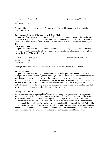**Course:** Theology 3 **Relative Value: Table III** Credit: 1.0 Pre-Requisite: None

Theology 3 is divided into two parts: Sacraments as Privileged Encounters with Jesus Christ and Life in Jesus Christ.

#### **Sacraments as Privileged Encounters with Jesus Christ**

The purpose of this course is to help students understand that they can encounter Christ today in a full and real way in and through the Sacraments, and especially through the Eucharist. Students will examine each of the sacraments in detail so as to learn how they may encounter Christ throughout life.

#### **Life in Jesus Christ**

The purpose of this course is to help students understand that it is only through Christ that they can fully live out God's plans for their lives. Students are to learn the moral concepts and precepts that govern the lives of Christ's disciples.

| Course:             | Theology 4 | Relative Value: Table III |  |
|---------------------|------------|---------------------------|--|
| Credit:             |            |                           |  |
| Pre-Requisite: None |            |                           |  |

Theology 4 is divided into two parts: Sacred Scripture and The History of the Church

#### **Sacred Scripture**

The purpose of this course is to give an overview of Sacred Scripture with an introduction to the basic principles for understanding and interpreting the Bible. Because of the extent of the scriptural material, this outline will not try to cover the vast content but rather offer comments about Scripture's purpose and religious significance. Given the limits of a semester of study, it will not be possible to introduce all the books of the Bible. But every effort is made to project a sense of the unity of the narrative for the divine plan of salvation, the presence of God's action in this record of his Revelation, and his desire to share his merciful love with us.

#### **History of the Church**

This course presents a catechesis of the Church and the Body of Christ in history: its nature and meaning, images, marks, life and ministry, guide to moral life, and the role of prayer. The purpose of the course is to supply the students with a general knowledge of the Church's history from apostolic times to the present. They will be introduced to the fact that the Church was founded by Christ through the Apostles and is sustained by him throughout history through the Holy Spirit. The students will come to know that the Church is the living Body of Christ today and, as such, has both divine and human elements. In this course, the students will learn about the Church's 2,000 years of history and about how the Church is led and governed by the successors of the Apostles.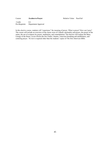| Course:        | <b>Awaken to Prayer</b> |
|----------------|-------------------------|
| Credit:        | 0.5                     |
| Pre-Requisite: | Department Approval     |

In this elective course, students will "experience" the meaning of prayer. What is prayer? How can I pray? The course will include an overview of the classic texts of Catholic spirituality and prayer, the prayer of the saints, the use of scripture for prayer, meditation, and contemplation. The elective will explore the Mass, Liturgy of the Hours, *Lectio Divina* the *Our Father*, litanies, conscious breathing and mindfulness, and centering prayer. No text is required other than the students' copies of The *New American Bible*.

Relative Value: Pass/Fail